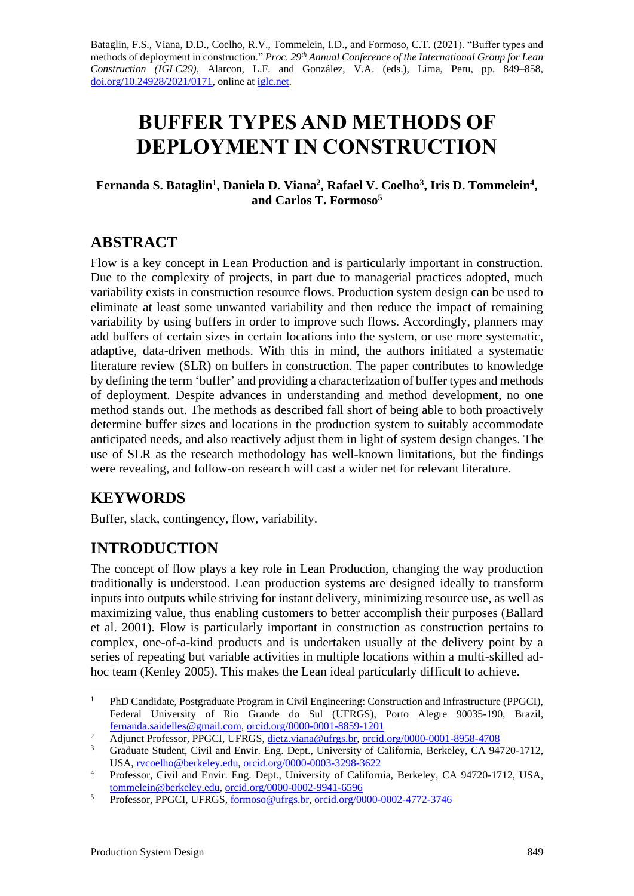Bataglin, F.S., Viana, D.D., Coelho, R.V., Tommelein, I.D., and Formoso, C.T. (2021). "Buffer types and methods of deployment in construction." *Proc. 29 th Annual Conference of the International Group for Lean Construction (IGLC29)*, Alarcon, L.F. and González, V.A. (eds.)*,* Lima, Peru, pp. 849–858, [doi.org/10.24928/2021/0171,](https://doi.org/10.24928/2021/0171) online a[t iglc.net.](http://iglc.net/)

# **BUFFER TYPES AND METHODS OF DEPLOYMENT IN CONSTRUCTION**

#### Fernanda S. Bataglin<sup>1</sup>, Daniela D. Viana<sup>2</sup>, Rafael V. Coelho<sup>3</sup>, Iris D. Tommelein<sup>4</sup>, **and Carlos T. Formoso<sup>5</sup>**

## **ABSTRACT**

Flow is a key concept in Lean Production and is particularly important in construction. Due to the complexity of projects, in part due to managerial practices adopted, much variability exists in construction resource flows. Production system design can be used to eliminate at least some unwanted variability and then reduce the impact of remaining variability by using buffers in order to improve such flows. Accordingly, planners may add buffers of certain sizes in certain locations into the system, or use more systematic, adaptive, data-driven methods. With this in mind, the authors initiated a systematic literature review (SLR) on buffers in construction. The paper contributes to knowledge by defining the term 'buffer' and providing a characterization of buffer types and methods of deployment. Despite advances in understanding and method development, no one method stands out. The methods as described fall short of being able to both proactively determine buffer sizes and locations in the production system to suitably accommodate anticipated needs, and also reactively adjust them in light of system design changes. The use of SLR as the research methodology has well-known limitations, but the findings were revealing, and follow-on research will cast a wider net for relevant literature.

## **KEYWORDS**

Buffer, slack, contingency, flow, variability.

# **INTRODUCTION**

The concept of flow plays a key role in Lean Production, changing the way production traditionally is understood. Lean production systems are designed ideally to transform inputs into outputs while striving for instant delivery, minimizing resource use, as well as maximizing value, thus enabling customers to better accomplish their purposes (Ballard et al. 2001). Flow is particularly important in construction as construction pertains to complex, one-of-a-kind products and is undertaken usually at the delivery point by a series of repeating but variable activities in multiple locations within a multi-skilled adhoc team (Kenley 2005). This makes the Lean ideal particularly difficult to achieve.

<sup>&</sup>lt;sup>1</sup> PhD Candidate, Postgraduate Program in Civil Engineering: Construction and Infrastructure (PPGCI), Federal University of Rio Grande do Sul (UFRGS), Porto Alegre 90035-190, Brazil, [fernanda.saidelles@gmail.com,](mailto:fernanda.saidelles@gmail.com) [orcid.org/0000-0001-8859-1201](https://orcid.org/0000-0001-8859-1201)

<sup>2</sup> Adjunct Professor, PPGCI, UFRGS, [dietz.viana@ufrgs.br,](mailto:dietz.viana@ufrgs.br) [orcid.org/0000-0001-8958-4708](https://orcid.org/0000-0001-8958-4708)

<sup>3</sup> Graduate Student, Civil and Envir. Eng. Dept., University of California, Berkeley, CA 94720-1712, USA, [rvcoelho@berkeley.edu,](mailto:rvcoelho@berkeley.edu) [orcid.org/0000-0003-3298-3622](https://orcid.org/0000-0003-3298-3622)

<sup>&</sup>lt;sup>4</sup> Professor, Civil and Envir. Eng. Dept., University of California, Berkeley, CA 94720-1712, USA, [tommelein@berkeley.edu,](mailto:tommelein@berkeley.edu) [orcid.org/0000-0002-9941-6596](http://orcid.org/0000-0002-9941-6596)

<sup>5</sup> Professor, PPGCI, UFRGS[, formoso@ufrgs.br,](mailto:formoso@ufrgs.br) [orcid.org/0000-0002-4772-3746](https://orcid.org/0000-0002-4772-3746)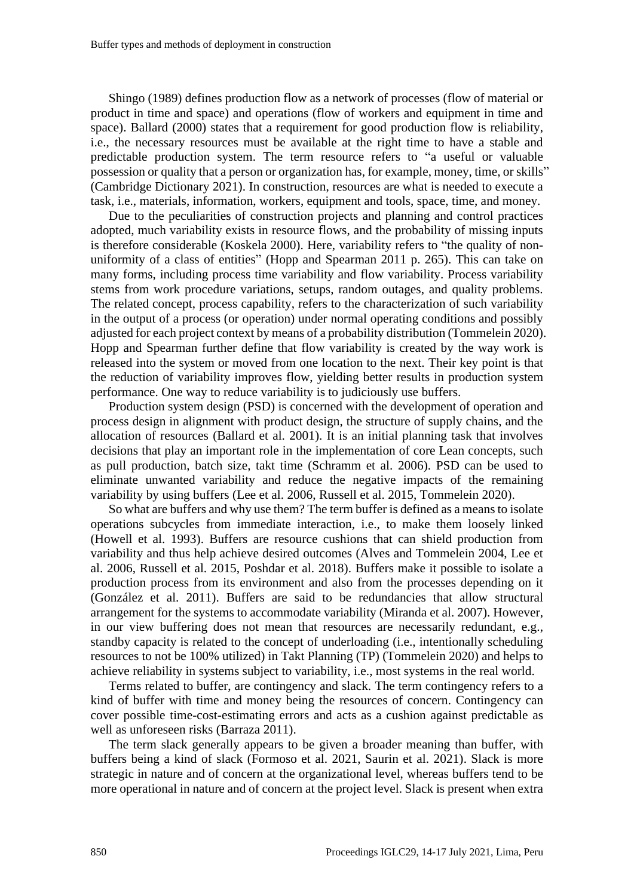Shingo (1989) defines production flow as a network of processes (flow of material or product in time and space) and operations (flow of workers and equipment in time and space). Ballard (2000) states that a requirement for good production flow is reliability, i.e., the necessary resources must be available at the right time to have a stable and predictable production system. The term resource refers to "a useful or valuable possession or quality that a person or organization has, for example, money, time, or skills" (Cambridge Dictionary 2021). In construction, resources are what is needed to execute a task, i.e., materials, information, workers, equipment and tools, space, time, and money.

Due to the peculiarities of construction projects and planning and control practices adopted, much variability exists in resource flows, and the probability of missing inputs is therefore considerable (Koskela 2000). Here, variability refers to "the quality of nonuniformity of a class of entities" (Hopp and Spearman 2011 p. 265). This can take on many forms, including process time variability and flow variability. Process variability stems from work procedure variations, setups, random outages, and quality problems. The related concept, process capability, refers to the characterization of such variability in the output of a process (or operation) under normal operating conditions and possibly adjusted for each project context by means of a probability distribution (Tommelein 2020). Hopp and Spearman further define that flow variability is created by the way work is released into the system or moved from one location to the next. Their key point is that the reduction of variability improves flow, yielding better results in production system performance. One way to reduce variability is to judiciously use buffers.

Production system design (PSD) is concerned with the development of operation and process design in alignment with product design, the structure of supply chains, and the allocation of resources (Ballard et al. 2001). It is an initial planning task that involves decisions that play an important role in the implementation of core Lean concepts, such as pull production, batch size, takt time (Schramm et al. 2006). PSD can be used to eliminate unwanted variability and reduce the negative impacts of the remaining variability by using buffers (Lee et al. 2006, Russell et al. 2015, Tommelein 2020).

So what are buffers and why use them? The term buffer is defined as a means to isolate operations subcycles from immediate interaction, i.e., to make them loosely linked (Howell et al. 1993). Buffers are resource cushions that can shield production from variability and thus help achieve desired outcomes (Alves and Tommelein 2004, Lee et al. 2006, Russell et al. 2015, Poshdar et al. 2018). Buffers make it possible to isolate a production process from its environment and also from the processes depending on it (González et al. 2011). Buffers are said to be redundancies that allow structural arrangement for the systems to accommodate variability (Miranda et al. 2007). However, in our view buffering does not mean that resources are necessarily redundant, e.g., standby capacity is related to the concept of underloading (i.e., intentionally scheduling resources to not be 100% utilized) in Takt Planning (TP) (Tommelein 2020) and helps to achieve reliability in systems subject to variability, i.e., most systems in the real world.

Terms related to buffer, are contingency and slack. The term contingency refers to a kind of buffer with time and money being the resources of concern. Contingency can cover possible time-cost-estimating errors and acts as a cushion against predictable as well as unforeseen risks (Barraza 2011).

The term slack generally appears to be given a broader meaning than buffer, with buffers being a kind of slack (Formoso et al. 2021, Saurin et al. 2021). Slack is more strategic in nature and of concern at the organizational level, whereas buffers tend to be more operational in nature and of concern at the project level. Slack is present when extra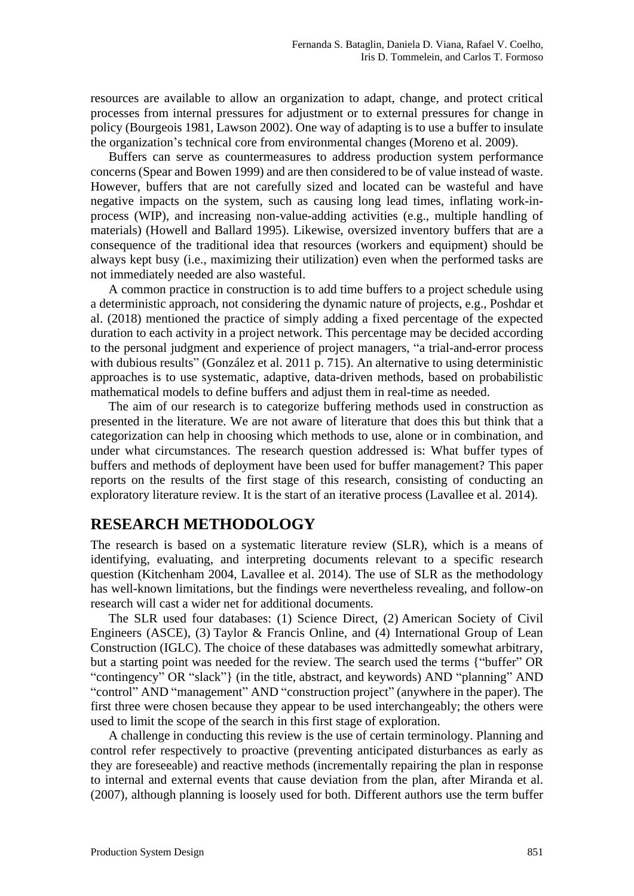resources are available to allow an organization to adapt, change, and protect critical processes from internal pressures for adjustment or to external pressures for change in policy (Bourgeois 1981, Lawson 2002). One way of adapting is to use a buffer to insulate the organization's technical core from environmental changes (Moreno et al. 2009).

Buffers can serve as countermeasures to address production system performance concerns (Spear and Bowen 1999) and are then considered to be of value instead of waste. However, buffers that are not carefully sized and located can be wasteful and have negative impacts on the system, such as causing long lead times, inflating work-inprocess (WIP), and increasing non-value-adding activities (e.g., multiple handling of materials) (Howell and Ballard 1995). Likewise, oversized inventory buffers that are a consequence of the traditional idea that resources (workers and equipment) should be always kept busy (i.e., maximizing their utilization) even when the performed tasks are not immediately needed are also wasteful.

A common practice in construction is to add time buffers to a project schedule using a deterministic approach, not considering the dynamic nature of projects, e.g., Poshdar et al. (2018) mentioned the practice of simply adding a fixed percentage of the expected duration to each activity in a project network. This percentage may be decided according to the personal judgment and experience of project managers, "a trial-and-error process with dubious results" (González et al. 2011 p. 715). An alternative to using deterministic approaches is to use systematic, adaptive, data-driven methods, based on probabilistic mathematical models to define buffers and adjust them in real-time as needed.

The aim of our research is to categorize buffering methods used in construction as presented in the literature. We are not aware of literature that does this but think that a categorization can help in choosing which methods to use, alone or in combination, and under what circumstances. The research question addressed is: What buffer types of buffers and methods of deployment have been used for buffer management? This paper reports on the results of the first stage of this research, consisting of conducting an exploratory literature review. It is the start of an iterative process (Lavallee et al. 2014).

### **RESEARCH METHODOLOGY**

The research is based on a systematic literature review (SLR), which is a means of identifying, evaluating, and interpreting documents relevant to a specific research question (Kitchenham 2004, Lavallee et al. 2014). The use of SLR as the methodology has well-known limitations, but the findings were nevertheless revealing, and follow-on research will cast a wider net for additional documents.

The SLR used four databases: (1) Science Direct, (2) American Society of Civil Engineers (ASCE), (3) Taylor & Francis Online, and (4) International Group of Lean Construction (IGLC). The choice of these databases was admittedly somewhat arbitrary, but a starting point was needed for the review. The search used the terms {"buffer" OR "contingency" OR "slack"} (in the title, abstract, and keywords) AND "planning" AND "control" AND "management" AND "construction project" (anywhere in the paper). The first three were chosen because they appear to be used interchangeably; the others were used to limit the scope of the search in this first stage of exploration.

A challenge in conducting this review is the use of certain terminology. Planning and control refer respectively to proactive (preventing anticipated disturbances as early as they are foreseeable) and reactive methods (incrementally repairing the plan in response to internal and external events that cause deviation from the plan, after Miranda et al. (2007), although planning is loosely used for both. Different authors use the term buffer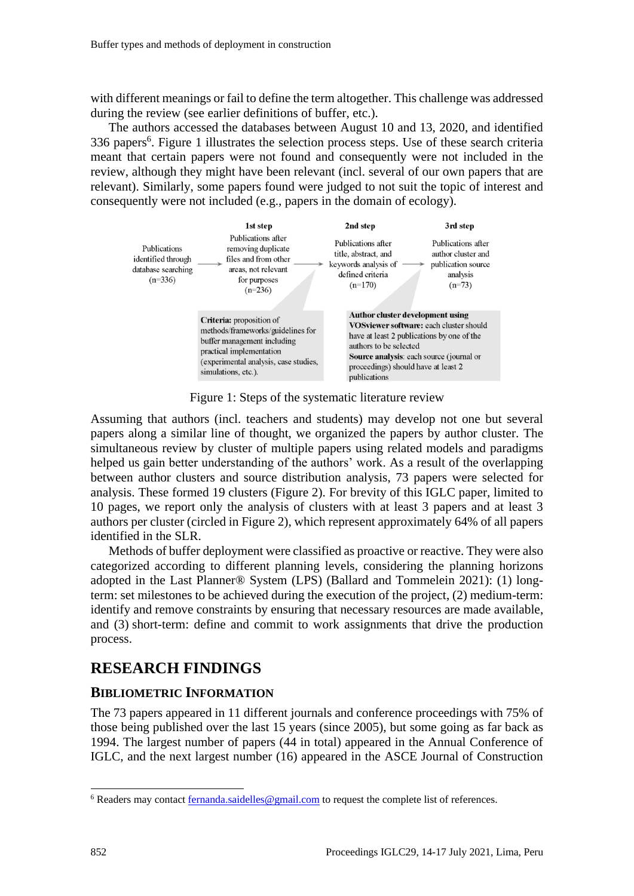with different meanings or fail to define the term altogether. This challenge was addressed during the review (see earlier definitions of buffer, etc.).

The authors accessed the databases between August 10 and 13, 2020, and identified 336 papers<sup>6</sup>. Figure 1 illustrates the selection process steps. Use of these search criteria meant that certain papers were not found and consequently were not included in the review, although they might have been relevant (incl. several of our own papers that are relevant). Similarly, some papers found were judged to not suit the topic of interest and consequently were not included (e.g., papers in the domain of ecology).



Figure 1: Steps of the systematic literature review

Assuming that authors (incl. teachers and students) may develop not one but several papers along a similar line of thought, we organized the papers by author cluster. The simultaneous review by cluster of multiple papers using related models and paradigms helped us gain better understanding of the authors' work. As a result of the overlapping between author clusters and source distribution analysis, 73 papers were selected for analysis. These formed 19 clusters (Figure 2). For brevity of this IGLC paper, limited to 10 pages, we report only the analysis of clusters with at least 3 papers and at least 3 authors per cluster (circled in Figure 2), which represent approximately 64% of all papers identified in the SLR.

Methods of buffer deployment were classified as proactive or reactive. They were also categorized according to different planning levels, considering the planning horizons adopted in the Last Planner® System (LPS) (Ballard and Tommelein 2021): (1) longterm: set milestones to be achieved during the execution of the project, (2) medium-term: identify and remove constraints by ensuring that necessary resources are made available, and (3) short-term: define and commit to work assignments that drive the production process.

## **RESEARCH FINDINGS**

#### **BIBLIOMETRIC INFORMATION**

The 73 papers appeared in 11 different journals and conference proceedings with 75% of those being published over the last 15 years (since 2005), but some going as far back as 1994. The largest number of papers (44 in total) appeared in the Annual Conference of IGLC, and the next largest number (16) appeared in the ASCE Journal of Construction

<sup>6</sup> Readers may contac[t fernanda.saidelles@gmail.com](mailto:fernanda.saidelles@gmail.com) to request the complete list of references.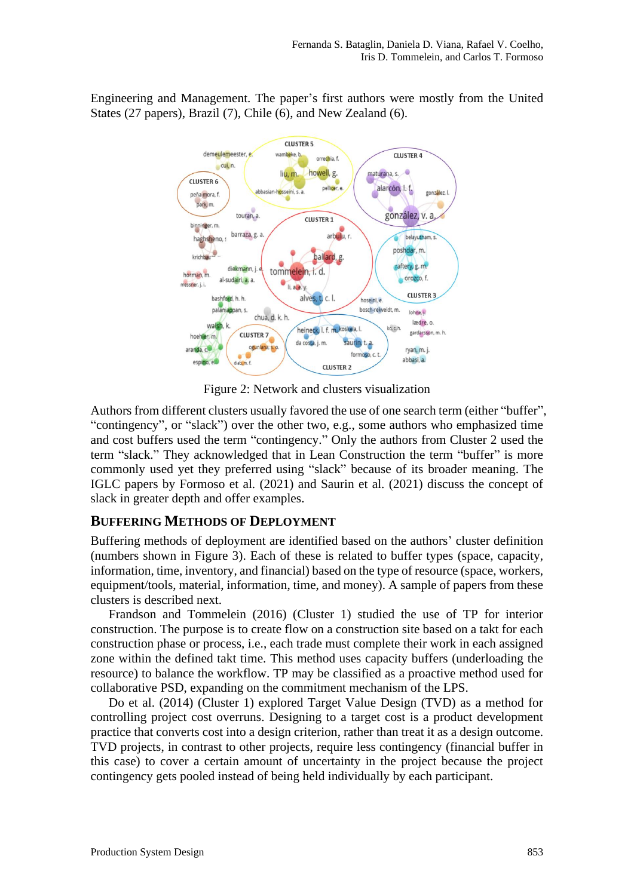Engineering and Management. The paper's first authors were mostly from the United States (27 papers), Brazil (7), Chile (6), and New Zealand (6).



Figure 2: Network and clusters visualization

Authors from different clusters usually favored the use of one search term (either "buffer", "contingency", or "slack") over the other two, e.g., some authors who emphasized time and cost buffers used the term "contingency." Only the authors from Cluster 2 used the term "slack." They acknowledged that in Lean Construction the term "buffer" is more commonly used yet they preferred using "slack" because of its broader meaning. The IGLC papers by Formoso et al. (2021) and Saurin et al. (2021) discuss the concept of slack in greater depth and offer examples.

#### **BUFFERING METHODS OF DEPLOYMENT**

Buffering methods of deployment are identified based on the authors' cluster definition (numbers shown in Figure 3). Each of these is related to buffer types (space, capacity, information, time, inventory, and financial) based on the type of resource (space, workers, equipment/tools, material, information, time, and money). A sample of papers from these clusters is described next.

Frandson and Tommelein (2016) (Cluster 1) studied the use of TP for interior construction. The purpose is to create flow on a construction site based on a takt for each construction phase or process, i.e., each trade must complete their work in each assigned zone within the defined takt time. This method uses capacity buffers (underloading the resource) to balance the workflow. TP may be classified as a proactive method used for collaborative PSD, expanding on the commitment mechanism of the LPS.

Do et al. (2014) (Cluster 1) explored Target Value Design (TVD) as a method for controlling project cost overruns. Designing to a target cost is a product development practice that converts cost into a design criterion, rather than treat it as a design outcome. TVD projects, in contrast to other projects, require less contingency (financial buffer in this case) to cover a certain amount of uncertainty in the project because the project contingency gets pooled instead of being held individually by each participant.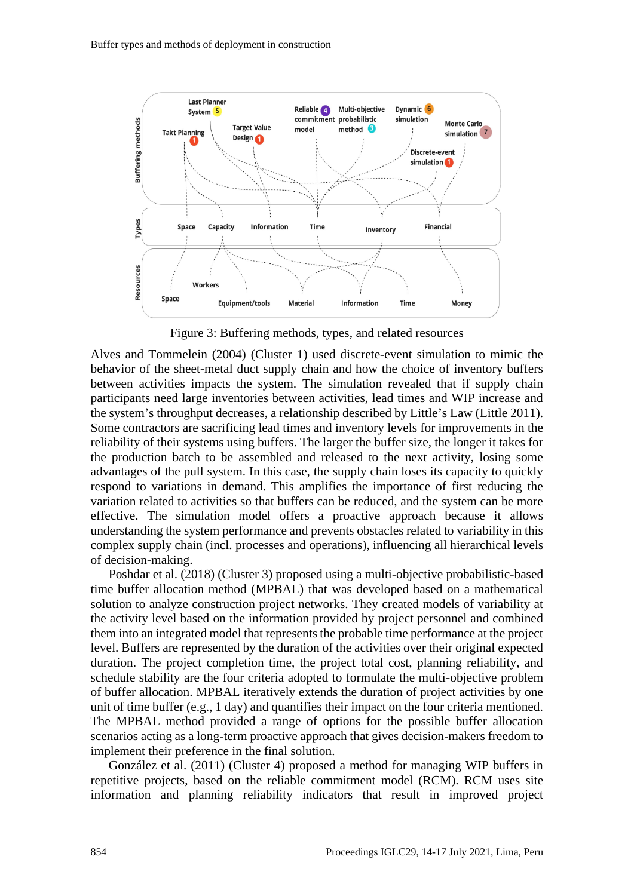

Figure 3: Buffering methods, types, and related resources

Alves and Tommelein (2004) (Cluster 1) used discrete-event simulation to mimic the behavior of the sheet-metal duct supply chain and how the choice of inventory buffers between activities impacts the system. The simulation revealed that if supply chain participants need large inventories between activities, lead times and WIP increase and the system's throughput decreases, a relationship described by Little's Law (Little 2011). Some contractors are sacrificing lead times and inventory levels for improvements in the reliability of their systems using buffers. The larger the buffer size, the longer it takes for the production batch to be assembled and released to the next activity, losing some advantages of the pull system. In this case, the supply chain loses its capacity to quickly respond to variations in demand. This amplifies the importance of first reducing the variation related to activities so that buffers can be reduced, and the system can be more effective. The simulation model offers a proactive approach because it allows understanding the system performance and prevents obstacles related to variability in this complex supply chain (incl. processes and operations), influencing all hierarchical levels of decision-making.

Poshdar et al. (2018) (Cluster 3) proposed using a multi-objective probabilistic-based time buffer allocation method (MPBAL) that was developed based on a mathematical solution to analyze construction project networks. They created models of variability at the activity level based on the information provided by project personnel and combined them into an integrated model that represents the probable time performance at the project level. Buffers are represented by the duration of the activities over their original expected duration. The project completion time, the project total cost, planning reliability, and schedule stability are the four criteria adopted to formulate the multi-objective problem of buffer allocation. MPBAL iteratively extends the duration of project activities by one unit of time buffer (e.g., 1 day) and quantifies their impact on the four criteria mentioned. The MPBAL method provided a range of options for the possible buffer allocation scenarios acting as a long-term proactive approach that gives decision-makers freedom to implement their preference in the final solution.

González et al. (2011) (Cluster 4) proposed a method for managing WIP buffers in repetitive projects, based on the reliable commitment model (RCM). RCM uses site information and planning reliability indicators that result in improved project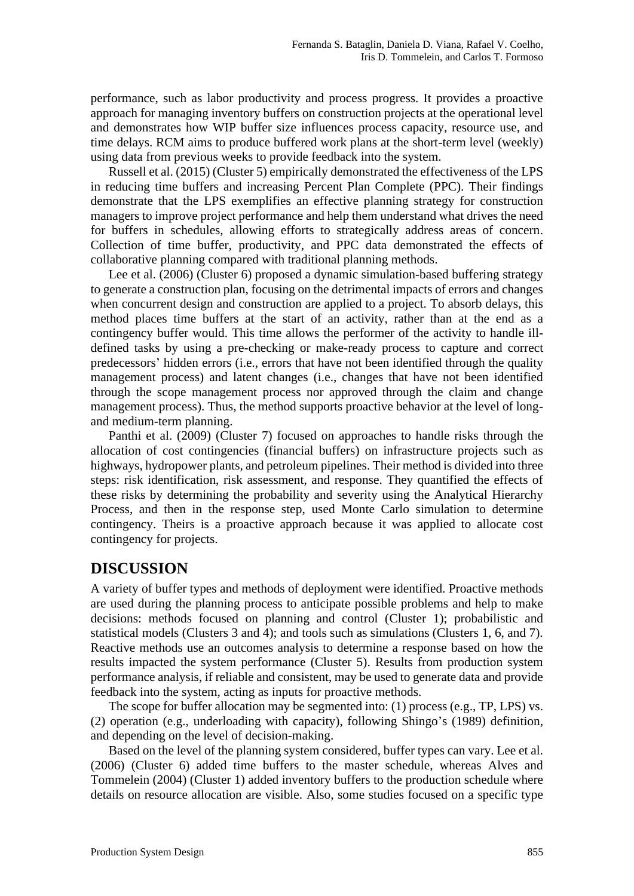performance, such as labor productivity and process progress. It provides a proactive approach for managing inventory buffers on construction projects at the operational level and demonstrates how WIP buffer size influences process capacity, resource use, and time delays. RCM aims to produce buffered work plans at the short-term level (weekly) using data from previous weeks to provide feedback into the system.

Russell et al. (2015) (Cluster 5) empirically demonstrated the effectiveness of the LPS in reducing time buffers and increasing Percent Plan Complete (PPC). Their findings demonstrate that the LPS exemplifies an effective planning strategy for construction managers to improve project performance and help them understand what drives the need for buffers in schedules, allowing efforts to strategically address areas of concern. Collection of time buffer, productivity, and PPC data demonstrated the effects of collaborative planning compared with traditional planning methods.

Lee et al. (2006) (Cluster 6) proposed a dynamic simulation-based buffering strategy to generate a construction plan, focusing on the detrimental impacts of errors and changes when concurrent design and construction are applied to a project. To absorb delays, this method places time buffers at the start of an activity, rather than at the end as a contingency buffer would. This time allows the performer of the activity to handle illdefined tasks by using a pre-checking or make-ready process to capture and correct predecessors' hidden errors (i.e., errors that have not been identified through the quality management process) and latent changes (i.e., changes that have not been identified through the scope management process nor approved through the claim and change management process). Thus, the method supports proactive behavior at the level of longand medium-term planning.

Panthi et al. (2009) (Cluster 7) focused on approaches to handle risks through the allocation of cost contingencies (financial buffers) on infrastructure projects such as highways, hydropower plants, and petroleum pipelines. Their method is divided into three steps: risk identification, risk assessment, and response. They quantified the effects of these risks by determining the probability and severity using the Analytical Hierarchy Process, and then in the response step, used Monte Carlo simulation to determine contingency. Theirs is a proactive approach because it was applied to allocate cost contingency for projects.

## **DISCUSSION**

A variety of buffer types and methods of deployment were identified. Proactive methods are used during the planning process to anticipate possible problems and help to make decisions: methods focused on planning and control (Cluster 1); probabilistic and statistical models (Clusters 3 and 4); and tools such as simulations (Clusters 1, 6, and 7). Reactive methods use an outcomes analysis to determine a response based on how the results impacted the system performance (Cluster 5). Results from production system performance analysis, if reliable and consistent, may be used to generate data and provide feedback into the system, acting as inputs for proactive methods.

The scope for buffer allocation may be segmented into: (1) process (e.g., TP, LPS) vs. (2) operation (e.g., underloading with capacity), following Shingo's (1989) definition, and depending on the level of decision-making.

Based on the level of the planning system considered, buffer types can vary. Lee et al. (2006) (Cluster 6) added time buffers to the master schedule, whereas Alves and Tommelein (2004) (Cluster 1) added inventory buffers to the production schedule where details on resource allocation are visible. Also, some studies focused on a specific type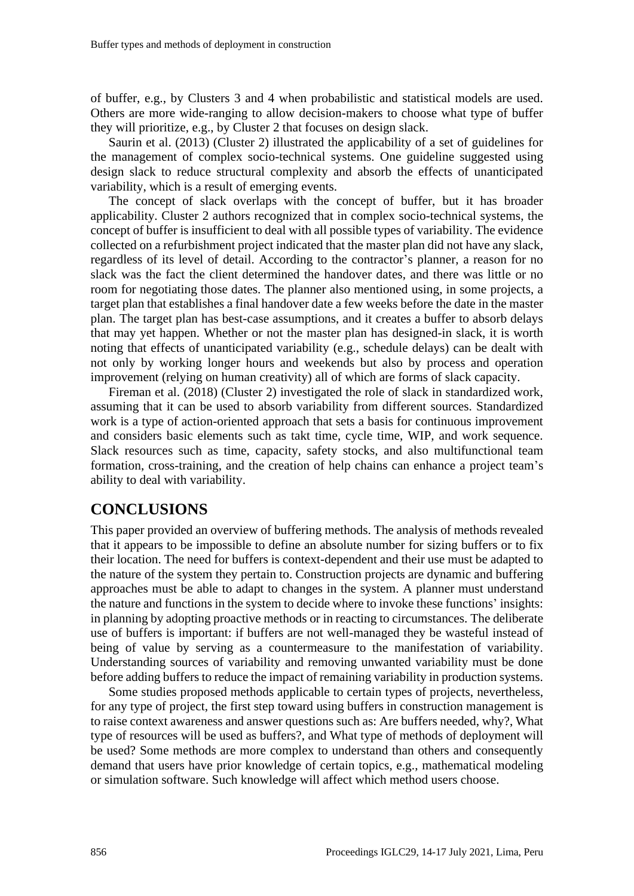of buffer, e.g., by Clusters 3 and 4 when probabilistic and statistical models are used. Others are more wide-ranging to allow decision-makers to choose what type of buffer they will prioritize, e.g., by Cluster 2 that focuses on design slack.

Saurin et al. (2013) (Cluster 2) illustrated the applicability of a set of guidelines for the management of complex socio-technical systems. One guideline suggested using design slack to reduce structural complexity and absorb the effects of unanticipated variability, which is a result of emerging events.

The concept of slack overlaps with the concept of buffer, but it has broader applicability. Cluster 2 authors recognized that in complex socio-technical systems, the concept of buffer is insufficient to deal with all possible types of variability. The evidence collected on a refurbishment project indicated that the master plan did not have any slack, regardless of its level of detail. According to the contractor's planner, a reason for no slack was the fact the client determined the handover dates, and there was little or no room for negotiating those dates. The planner also mentioned using, in some projects, a target plan that establishes a final handover date a few weeks before the date in the master plan. The target plan has best-case assumptions, and it creates a buffer to absorb delays that may yet happen. Whether or not the master plan has designed-in slack, it is worth noting that effects of unanticipated variability (e.g., schedule delays) can be dealt with not only by working longer hours and weekends but also by process and operation improvement (relying on human creativity) all of which are forms of slack capacity.

Fireman et al. (2018) (Cluster 2) investigated the role of slack in standardized work, assuming that it can be used to absorb variability from different sources. Standardized work is a type of action-oriented approach that sets a basis for continuous improvement and considers basic elements such as takt time, cycle time, WIP, and work sequence. Slack resources such as time, capacity, safety stocks, and also multifunctional team formation, cross-training, and the creation of help chains can enhance a project team's ability to deal with variability.

### **CONCLUSIONS**

This paper provided an overview of buffering methods. The analysis of methods revealed that it appears to be impossible to define an absolute number for sizing buffers or to fix their location. The need for buffers is context-dependent and their use must be adapted to the nature of the system they pertain to. Construction projects are dynamic and buffering approaches must be able to adapt to changes in the system. A planner must understand the nature and functions in the system to decide where to invoke these functions' insights: in planning by adopting proactive methods or in reacting to circumstances. The deliberate use of buffers is important: if buffers are not well-managed they be wasteful instead of being of value by serving as a countermeasure to the manifestation of variability. Understanding sources of variability and removing unwanted variability must be done before adding buffers to reduce the impact of remaining variability in production systems.

Some studies proposed methods applicable to certain types of projects, nevertheless, for any type of project, the first step toward using buffers in construction management is to raise context awareness and answer questions such as: Are buffers needed, why?, What type of resources will be used as buffers?, and What type of methods of deployment will be used? Some methods are more complex to understand than others and consequently demand that users have prior knowledge of certain topics, e.g., mathematical modeling or simulation software. Such knowledge will affect which method users choose.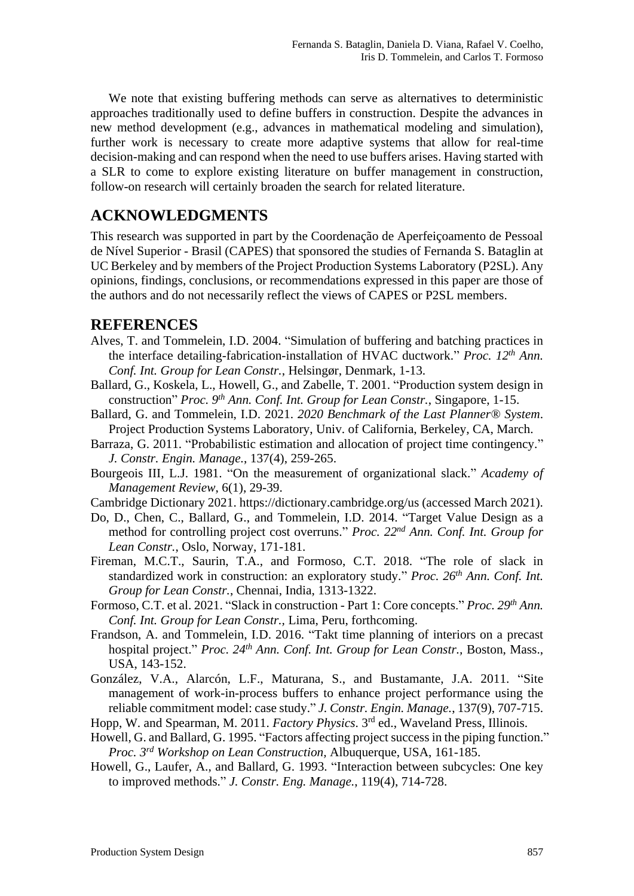We note that existing buffering methods can serve as alternatives to deterministic approaches traditionally used to define buffers in construction. Despite the advances in new method development (e.g., advances in mathematical modeling and simulation), further work is necessary to create more adaptive systems that allow for real-time decision-making and can respond when the need to use buffers arises. Having started with a SLR to come to explore existing literature on buffer management in construction, follow-on research will certainly broaden the search for related literature.

### **ACKNOWLEDGMENTS**

This research was supported in part by the Coordenação de Aperfeiçoamento de Pessoal de Nível Superior - Brasil (CAPES) that sponsored the studies of Fernanda S. Bataglin at UC Berkeley and by members of the Project Production Systems Laboratory (P2SL). Any opinions, findings, conclusions, or recommendations expressed in this paper are those of the authors and do not necessarily reflect the views of CAPES or P2SL members.

### **REFERENCES**

- Alves, T. and Tommelein, I.D. 2004. "Simulation of buffering and batching practices in the interface detailing-fabrication-installation of HVAC ductwork." *Proc. 12th Ann. Conf. Int. Group for Lean Constr.*, Helsingør, Denmark, 1-13.
- Ballard, G., Koskela, L., Howell, G., and Zabelle, T. 2001. "Production system design in construction" *Proc. 9th Ann. Conf. Int. Group for Lean Constr.*, Singapore, 1-15.
- Ballard, G. and Tommelein, I.D. 2021. *2020 Benchmark of the Last Planner® System*. Project Production Systems Laboratory, Univ. of California, Berkeley, CA, March.
- Barraza, G. 2011. "Probabilistic estimation and allocation of project time contingency." *J. Constr. Engin. Manage.*, 137(4), 259-265.
- Bourgeois III, L.J. 1981. "On the measurement of organizational slack." *Academy of Management Review*, 6(1), 29-39.
- Cambridge Dictionary 2021. https://dictionary.cambridge.org/us (accessed March 2021).
- Do, D., Chen, C., Ballard, G., and Tommelein, I.D. 2014. "Target Value Design as a method for controlling project cost overruns." *Proc. 22nd Ann. Conf. Int. Group for Lean Constr.*, Oslo, Norway, 171-181.
- Fireman, M.C.T., Saurin, T.A., and Formoso, C.T. 2018. "The role of slack in standardized work in construction: an exploratory study." *Proc. 26th Ann. Conf. Int. Group for Lean Constr.*, Chennai, India, 1313-1322.
- Formoso, C.T. et al. 2021. "Slack in construction Part 1: Core concepts." *Proc. 29th Ann. Conf. Int. Group for Lean Constr.,* Lima, Peru, forthcoming.
- Frandson, A. and Tommelein, I.D. 2016. "Takt time planning of interiors on a precast hospital project." *Proc. 24th Ann. Conf. Int. Group for Lean Constr.,* Boston, Mass., USA, 143-152.
- González, V.A., Alarcón, L.F., Maturana, S., and Bustamante, J.A. 2011. "Site management of work-in-process buffers to enhance project performance using the reliable commitment model: case study." *J. Constr. Engin. Manage.*, 137(9), 707-715.
- Hopp, W. and Spearman, M. 2011. *Factory Physics*. 3rd ed., Waveland Press, Illinois.
- Howell, G. and Ballard, G. 1995. "Factors affecting project success in the piping function." *Proc. 3rd Workshop on Lean Construction,* Albuquerque, USA, 161-185.
- Howell, G., Laufer, A., and Ballard, G. 1993. "Interaction between subcycles: One key to improved methods." *J. Constr. Eng. Manage.*, 119(4), 714-728.